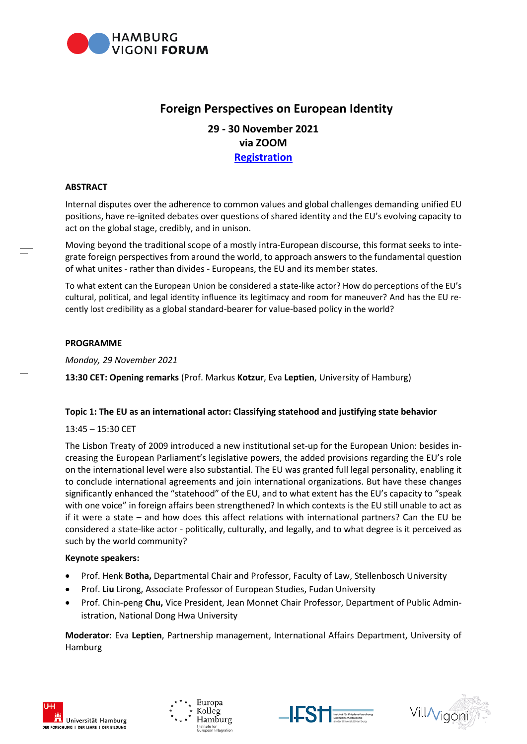

# **Foreign Perspectives on European Identity**

## **29 - 30 November 2021 via ZOOM [Registration](https://us02web.zoom.us/webinar/register/WN_1rEHd1RkT5arOLi3h3tTkQ)**

## **ABSTRACT**

Internal disputes over the adherence to common values and global challenges demanding unified EU positions, have re-ignited debates over questions of shared identity and the EU's evolving capacity to act on the global stage, credibly, and in unison.

Moving beyond the traditional scope of a mostly intra-European discourse, this format seeks to integrate foreign perspectives from around the world, to approach answers to the fundamental question of what unites - rather than divides - Europeans, the EU and its member states.

To what extent can the European Union be considered a state-like actor? How do perceptions of the EU's cultural, political, and legal identity influence its legitimacy and room for maneuver? And has the EU recently lost credibility as a global standard-bearer for value-based policy in the world?

#### **PROGRAMME**

*Monday, 29 November 2021*

**13:30 CET: Opening remarks** (Prof. Markus **Kotzur**, Eva **Leptien**, University of Hamburg)

## **Topic 1: The EU as an international actor: Classifying statehood and justifying state behavior**

## 13:45 – 15:30 CET

The Lisbon Treaty of 2009 introduced a new institutional set-up for the European Union: besides increasing the European Parliament's legislative powers, the added provisions regarding the EU's role on the international level were also substantial. The EU was granted full legal personality, enabling it to conclude international agreements and join international organizations. But have these changes significantly enhanced the "statehood" of the EU, and to what extent has the EU's capacity to "speak with one voice" in foreign affairs been strengthened? In which contexts is the EU still unable to act as if it were a state – and how does this affect relations with international partners? Can the EU be considered a state-like actor - politically, culturally, and legally, and to what degree is it perceived as such by the world community?

## **Keynote speakers:**

- Prof. Henk **Botha,** Departmental Chair and Professor, Faculty of Law, Stellenbosch University
- Prof. **Liu** Lirong, Associate Professor of European Studies, Fudan University
- Prof. Chin-peng **Chu,** Vice President, Jean Monnet Chair Professor, Department of Public Administration, National Dong Hwa University

**Moderator**: Eva **Leptien**, Partnership management, International Affairs Department, University of Hamburg







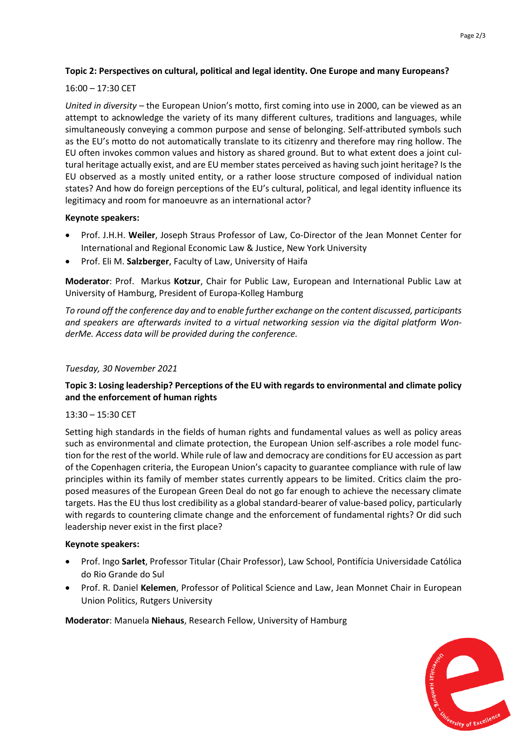## **Topic 2: Perspectives on cultural, political and legal identity. One Europe and many Europeans?**

#### 16:00 – 17:30 CET

*United in diversity –* the European Union's motto, first coming into use in 2000, can be viewed as an attempt to acknowledge the variety of its many different cultures, traditions and languages, while simultaneously conveying a common purpose and sense of belonging. Self-attributed symbols such as the EU's motto do not automatically translate to its citizenry and therefore may ring hollow. The EU often invokes common values and history as shared ground. But to what extent does a joint cultural heritage actually exist, and are EU member states perceived as having such joint heritage? Is the EU observed as a mostly united entity, or a rather loose structure composed of individual nation states? And how do foreign perceptions of the EU's cultural, political, and legal identity influence its legitimacy and room for manoeuvre as an international actor?

#### **Keynote speakers:**

- Prof. J.H.H. **Weiler**, Joseph Straus Professor of Law, Co-Director of the Jean Monnet Center for International and Regional Economic Law & Justice, New York University
- Prof. Eli M. **Salzberger**, Faculty of Law, University of Haifa

**Moderator**: Prof. Markus **Kotzur**, Chair for Public Law, European and International Public Law at University of Hamburg, President of Europa-Kolleg Hamburg

*To round off the conference day and to enable further exchange on the content discussed, participants and speakers are afterwards invited to a virtual networking session via the digital platform WonderMe. Access data will be provided during the conference.*

#### *Tuesday, 30 November 2021*

## **Topic 3: Losing leadership? Perceptions of the EU with regards to environmental and climate policy and the enforcement of human rights**

## 13:30 – 15:30 CET

Setting high standards in the fields of human rights and fundamental values as well as policy areas such as environmental and climate protection, the European Union self-ascribes a role model function for the rest of the world. While rule of law and democracy are conditions for EU accession as part of the Copenhagen criteria, the European Union's capacity to guarantee compliance with rule of law principles within its family of member states currently appears to be limited. Critics claim the proposed measures of the European Green Deal do not go far enough to achieve the necessary climate targets. Has the EU thus lost credibility as a global standard-bearer of value-based policy, particularly with regards to countering climate change and the enforcement of fundamental rights? Or did such leadership never exist in the first place?

#### **Keynote speakers:**

- Prof. Ingo **Sarlet**, Professor Titular (Chair Professor), Law School, Pontifícia Universidade Católica do Rio Grande do Sul
- Prof. R. Daniel **Kelemen**, Professor of Political Science and Law, Jean Monnet Chair in European Union Politics, Rutgers University

**Moderator**: Manuela **Niehaus**, Research Fellow, University of Hamburg